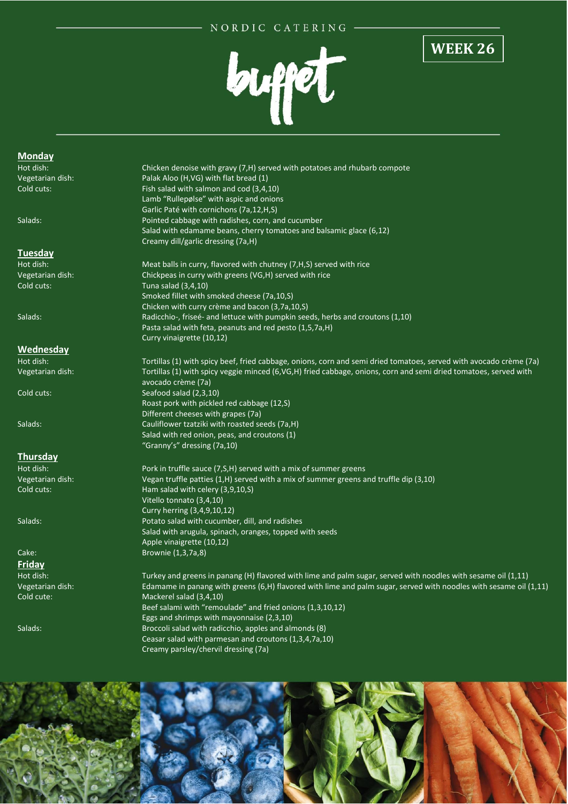## NORDIC CATERING



## **WEEK 26**

#### **Monday**

#### **Tuesday**

## **Wednesday**

### **Thursday**

# **Friday**

Hot dish: Chicken denoise with gravy (7,H) served with potatoes and rhubarb compote Vegetarian dish: Palak Aloo (H,VG) with flat bread (1) Cold cuts: Fish salad with salmon and cod (3,4,10) Lamb "Rullepølse" with aspic and onions Garlic Paté with cornichons (7a,12,H,S) Salads: Pointed cabbage with radishes, corn, and cucumber Salad with edamame beans, cherry tomatoes and balsamic glace (6,12) Creamy dill/garlic dressing (7a,H)

Hot dish: Meat balls in curry, flavored with chutney (7,H,S) served with rice Vegetarian dish: Chickpeas in curry with greens (VG,H) served with rice Cold cuts: Tuna salad (3,4,10) Smoked fillet with smoked cheese (7a,10,S) Chicken with curry crème and bacon (3,7a,10,S) Salads: Radicchio-, friseé- and lettuce with pumpkin seeds, herbs and croutons (1,10) Pasta salad with feta, peanuts and red pesto (1,5,7a,H) Curry vinaigrette (10,12)

Hot dish: Tortillas (1) with spicy beef, fried cabbage, onions, corn and semi dried tomatoes, served with avocado crème (7a) Vegetarian dish: Tortillas (1) with spicy veggie minced (6,VG,H) fried cabbage, onions, corn and semi dried tomatoes, served with avocado crème (7a) Cold cuts: Seafood salad (2,3,10) Roast pork with pickled red cabbage (12,S) Different cheeses with grapes (7a) Salads: Cauliflower tzatziki with roasted seeds (7a,H) Salad with red onion, peas, and croutons (1) "Granny's" dressing (7a,10)

Hot dish: Pork in truffle sauce (7, S, H) served with a mix of summer greens Vegetarian dish: Vegan truffle patties (1,H) served with a mix of summer greens and truffle dip (3,10) Cold cuts: Ham salad with celery (3,9,10,S) Vitello tonnato (3,4,10) Curry herring (3,4,9,10,12) Salads: Potato salad with cucumber, dill, and radishes Salad with arugula, spinach, oranges, topped with seeds Apple vinaigrette (10,12) Cake: Brownie (1,3,7a,8)

Hot dish: Turkey and greens in panang (H) flavored with lime and palm sugar, served with noodles with sesame oil (1,11) Vegetarian dish: Edamame in panang with greens (6,H) flavored with lime and palm sugar, served with noodles with sesame oil (1,11) Cold cute: Mackerel salad (3,4,10) Beef salami with "remoulade" and fried onions (1,3,10,12) Eggs and shrimps with mayonnaise (2,3,10) Salads: Broccoli salad with radicchio, apples and almonds (8) Ceasar salad with parmesan and croutons (1,3,4,7a,10) Creamy parsley/chervil dressing (7a)